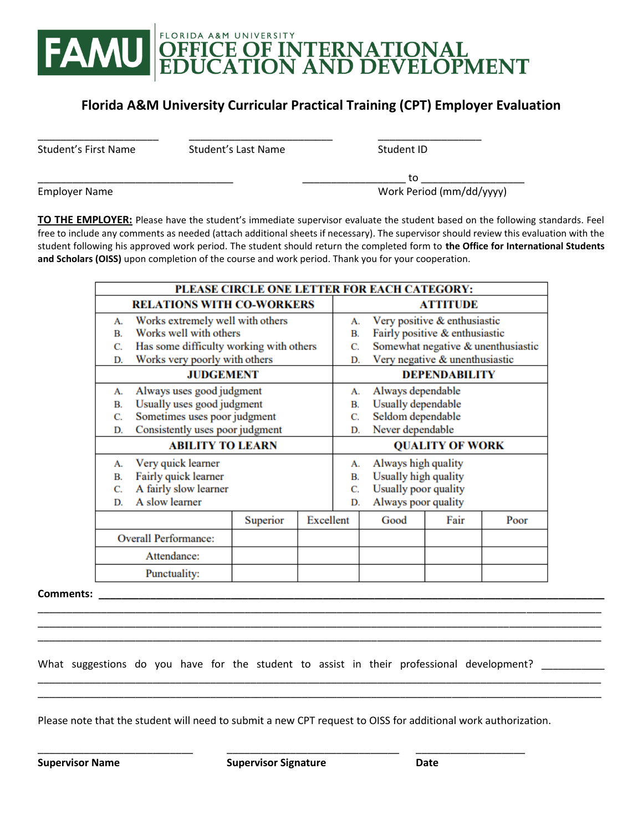

## **Florida A&M University Curricular Practical Training (CPT) Employer Evaluation**

Student's Last Name Student ID

\_\_\_\_\_\_\_\_\_\_\_\_\_\_\_\_\_\_\_\_\_ \_\_\_\_\_\_\_\_\_\_\_\_\_\_\_\_\_\_\_\_\_\_\_\_\_ \_\_\_\_\_\_\_\_\_\_\_\_\_\_\_\_\_\_

\_\_\_\_\_\_\_\_\_\_\_\_\_\_\_\_\_\_\_\_\_\_\_\_\_\_\_\_\_\_\_\_\_\_ \_\_\_\_\_\_\_\_\_\_\_\_\_\_\_\_\_\_ to \_\_\_\_\_\_\_\_\_\_\_\_\_\_\_\_\_\_ Employer Name Work Period (mm/dd/yyyy)

**TO THE EMPLOYER:** Please have the student's immediate supervisor evaluate the student based on the following standards. Feel free to include any comments as needed (attach additional sheets if necessary). The supervisor should review this evaluation with the student following his approved work period. The student should return the completed form to **the Office for International Students and Scholars (OISS)** upon completion of the course and work period. Thank you for your cooperation.

| PLEASE CIRCLE ONE LETTER FOR EACH CATEGORY: |                                         |          |           |                        |                                    |      |      |
|---------------------------------------------|-----------------------------------------|----------|-----------|------------------------|------------------------------------|------|------|
| <b>RELATIONS WITH CO-WORKERS</b>            |                                         |          |           | <b>ATTITUDE</b>        |                                    |      |      |
| А.                                          | Works extremely well with others        |          |           | А.                     | Very positive & enthusiastic       |      |      |
| <b>B</b>                                    | Works well with others                  |          |           | В.                     | Fairly positive & enthusiastic     |      |      |
| C.                                          | Has some difficulty working with others |          |           | C.                     | Somewhat negative & unenthusiastic |      |      |
| D.                                          | Works very poorly with others           |          |           | D.                     | Very negative & unenthusiastic     |      |      |
| <b>JUDGEMENT</b>                            |                                         |          |           | <b>DEPENDABILITY</b>   |                                    |      |      |
| А.                                          | Always uses good judgment               |          |           | А.                     | Always dependable                  |      |      |
| В.                                          | Usually uses good judgment              |          |           | В.                     | Usually dependable                 |      |      |
| C.                                          | Sometimes uses poor judgment            |          |           | C.                     | Seldom dependable                  |      |      |
| D.                                          | Consistently uses poor judgment         |          |           | D.                     | Never dependable                   |      |      |
| <b>ABILITY TO LEARN</b>                     |                                         |          |           | <b>QUALITY OF WORK</b> |                                    |      |      |
| А.                                          | Very quick learner                      |          |           | А.                     | Always high quality                |      |      |
| Fairly quick learner<br>В.                  |                                         |          | В.        | Usually high quality   |                                    |      |      |
| C.                                          | A fairly slow learner                   |          |           | C.                     | Usually poor quality               |      |      |
| D.                                          | A slow learner                          |          |           |                        | Always poor quality                |      |      |
|                                             |                                         | Superior | Excellent |                        | Good                               | Fair | Poor |
| <b>Overall Performance:</b>                 |                                         |          |           |                        |                                    |      |      |
| Attendance:                                 |                                         |          |           |                        |                                    |      |      |
| Punctuality:                                |                                         |          |           |                        |                                    |      |      |

\_\_\_\_\_\_\_\_\_\_\_\_\_\_\_\_\_\_\_\_\_\_\_\_\_\_\_\_\_\_\_\_\_\_\_\_\_\_\_\_\_\_\_\_\_\_\_\_\_\_\_\_\_\_\_\_\_\_\_\_\_\_\_\_\_\_\_\_\_\_\_\_\_\_\_\_\_\_\_\_\_\_\_\_\_\_\_\_\_\_\_\_\_\_\_\_\_\_ \_\_\_\_\_\_\_\_\_\_\_\_\_\_\_\_\_\_\_\_\_\_\_\_\_\_\_\_\_\_\_\_\_\_\_\_\_\_\_\_\_\_\_\_\_\_\_\_\_\_\_\_\_\_\_\_\_\_\_\_\_\_\_\_\_\_\_\_\_\_\_\_\_\_\_\_\_\_\_\_\_\_\_\_\_\_\_\_\_\_\_\_\_\_\_\_\_\_

\_\_\_\_\_\_\_\_\_\_\_\_\_\_\_\_\_\_\_\_\_\_\_\_\_\_\_\_\_\_\_\_\_\_\_\_\_\_\_\_\_\_\_\_\_\_\_\_\_\_\_\_\_\_\_\_\_\_\_\_\_\_\_\_\_\_\_\_\_\_\_\_\_\_\_\_\_\_\_\_\_\_\_\_\_\_\_\_\_\_\_\_\_\_\_\_\_\_ \_\_\_\_\_\_\_\_\_\_\_\_\_\_\_\_\_\_\_\_\_\_\_\_\_\_\_\_\_\_\_\_\_\_\_\_\_\_\_\_\_\_\_\_\_\_\_\_\_\_\_\_\_\_\_\_\_\_\_\_\_\_\_\_\_\_\_\_\_\_\_\_\_\_\_\_\_\_\_\_\_\_\_\_\_\_\_\_\_\_\_\_\_\_\_\_\_\_

**Comments: \_\_\_\_\_\_\_\_\_\_\_\_\_\_\_\_\_\_\_\_\_\_\_\_\_\_\_\_\_\_\_\_\_\_\_\_\_\_\_\_\_\_\_\_\_\_\_\_\_\_\_\_\_\_\_\_\_\_\_\_\_\_\_\_\_\_\_\_\_\_\_\_\_\_\_\_\_\_\_\_\_\_\_\_\_\_\_\_**

What suggestions do you have for the student to assist in their professional development? \_\_\_\_\_\_\_\_\_\_

Please note that the student will need to submit a new CPT request to OISS for additional work authorization.